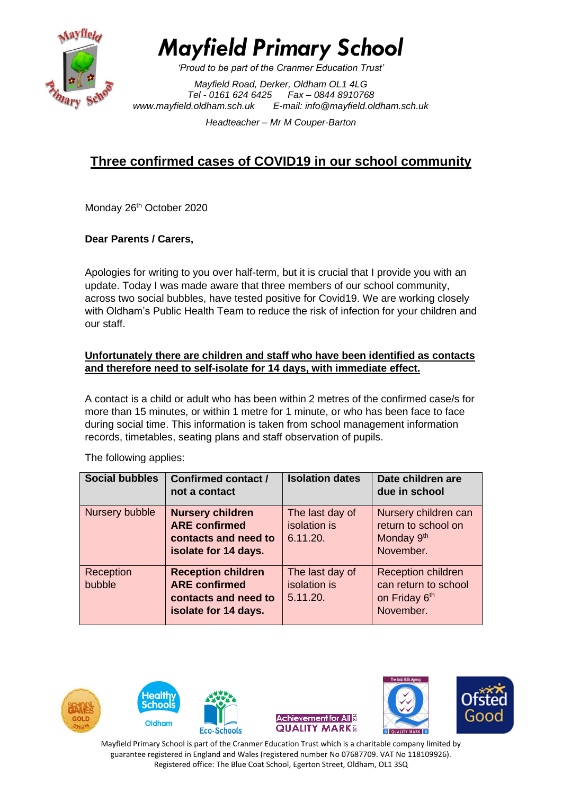

*Mayfield Primary School*

*'Proud to be part of the Cranmer Education Trust'*

*Mayfield Road, Derker, Oldham OL1 4LG Tel - 0161 624 6425 Fax – 0844 8910768 [www.mayfield.oldham.sch.uk](http://www.mayfield.oldham.sch.uk/) E-mail: [info@mayfield.oldham.sch.uk](mailto:info@mayfield.oldham.sch.uk)*

*Headteacher – Mr M Couper-Barton* 

# **Three confirmed cases of COVID19 in our school community**

Monday 26<sup>th</sup> October 2020

## **Dear Parents / Carers,**

Apologies for writing to you over half-term, but it is crucial that I provide you with an update. Today I was made aware that three members of our school community, across two social bubbles, have tested positive for Covid19. We are working closely with Oldham's Public Health Team to reduce the risk of infection for your children and our staff.

#### **Unfortunately there are children and staff who have been identified as contacts and therefore need to self-isolate for 14 days, with immediate effect.**

A contact is a child or adult who has been within 2 metres of the confirmed case/s for more than 15 minutes, or within 1 metre for 1 minute, or who has been face to face during social time. This information is taken from school management information records, timetables, seating plans and staff observation of pupils.

| <b>Social bubbles</b> | Confirmed contact /<br>not a contact                                                              | <b>Isolation dates</b>                      | Date children are<br>due in school                                                 |
|-----------------------|---------------------------------------------------------------------------------------------------|---------------------------------------------|------------------------------------------------------------------------------------|
| Nursery bubble        | <b>Nursery children</b><br><b>ARE confirmed</b><br>contacts and need to<br>isolate for 14 days.   | The last day of<br>isolation is<br>6.11.20. | Nursery children can<br>return to school on<br>Monday 9 <sup>th</sup><br>November. |
| Reception<br>bubble   | <b>Reception children</b><br><b>ARE confirmed</b><br>contacts and need to<br>isolate for 14 days. | The last day of<br>isolation is<br>5.11.20. | <b>Reception children</b><br>can return to school<br>on Friday 6th<br>November.    |

The following applies:











Mayfield Primary School is part of the Cranmer Education Trust which is a charitable company limited by guarantee registered in England and Wales (registered number No 07687709. VAT No 118109926). Registered office: The Blue Coat School, Egerton Street, Oldham, OL1 3SQ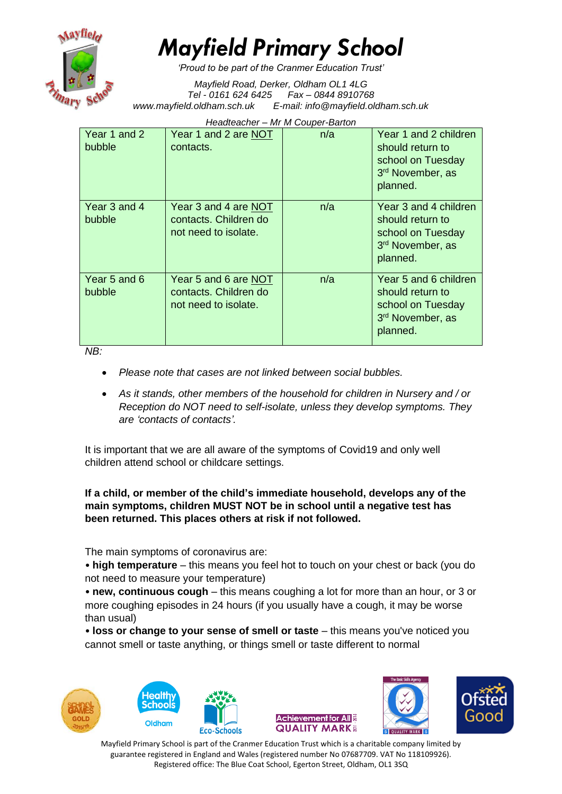

# *Mayfield Primary School*

*'Proud to be part of the Cranmer Education Trust'*

*Mayfield Road, Derker, Oldham OL1 4LG Tel - 0161 624 6425 Fax – 0844 8910768 [www.mayfield.oldham.sch.uk](http://www.mayfield.oldham.sch.uk/) E-mail: [info@mayfield.oldham.sch.uk](mailto:info@mayfield.oldham.sch.uk)*

*Headteacher – Mr M Couper-Barton* 

| Year 1 and 2<br>bubble        | Year 1 and 2 are NOT<br>contacts.                                     | n/a | Year 1 and 2 children<br>should return to<br>school on Tuesday<br>3rd November, as<br>planned. |
|-------------------------------|-----------------------------------------------------------------------|-----|------------------------------------------------------------------------------------------------|
| Year 3 and 4<br><b>bubble</b> | Year 3 and 4 are NOT<br>contacts. Children do<br>not need to isolate. | n/a | Year 3 and 4 children<br>should return to<br>school on Tuesday<br>3rd November, as<br>planned. |
| Year 5 and 6<br><b>bubble</b> | Year 5 and 6 are NOT<br>contacts. Children do<br>not need to isolate. | n/a | Year 5 and 6 children<br>should return to<br>school on Tuesday<br>3rd November, as<br>planned. |

*NB:* 

- *Please note that cases are not linked between social bubbles.*
- *As it stands, other members of the household for children in Nursery and / or Reception do NOT need to self-isolate, unless they develop symptoms. They are 'contacts of contacts'.*

It is important that we are all aware of the symptoms of Covid19 and only well children attend school or childcare settings.

## **If a child, or member of the child's immediate household, develops any of the main symptoms, children MUST NOT be in school until a negative test has been returned. This places others at risk if not followed.**

The main symptoms of coronavirus are:

• **high temperature** – this means you feel hot to touch on your chest or back (you do not need to measure your temperature)

• **new, continuous cough** – this means coughing a lot for more than an hour, or 3 or more coughing episodes in 24 hours (if you usually have a cough, it may be worse than usual)

• loss or change to your sense of smell or taste – this means you've noticed you cannot smell or taste anything, or things smell or taste different to normal









Mayfield Primary School is part of the Cranmer Education Trust which is a charitable company limited by guarantee registered in England and Wales (registered number No 07687709. VAT No 118109926). Registered office: The Blue Coat School, Egerton Street, Oldham, OL1 3SQ